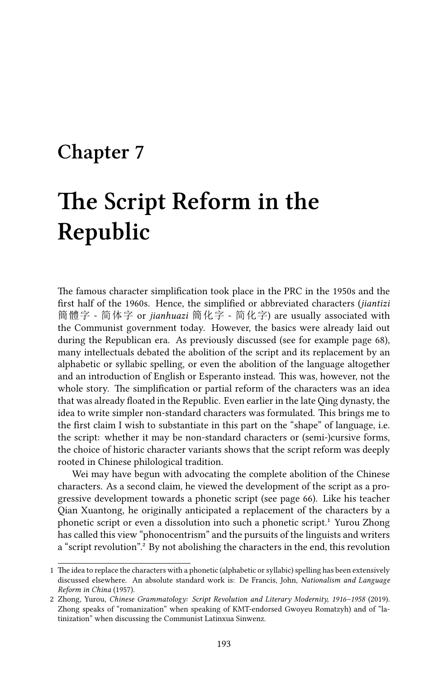# **Chapter 7**

# **The Script Reform in the Republic**

The famous character simplification took place in the PRC in the 1950s and the first half of the 1960s. Hence, the simplified or abbreviated characters (*jiantizi* 簡體字 - 简体字 or *jianhuazi* 簡化字 - 简化字) are usually associated with the Communist government today. However, the basics were already laid out during the Republican era. As previously discussed (see for example page 68), many intellectuals debated the abolition of the script and its replacement by an alphabetic or syllabic spelling, or even the abolition of the language altogether and an introduction of English or Esperanto instead. This was, however, not the whole story. The simplification or partial reform of the characters was an idea that was already floated in the Republic. Even earlier in the late Qing dynasty, the idea to write simpler non-standard characters was formulated. This brings me to the first claim I wish to substantiate in this part on the "shape" of language, i.e. the script: whether it may be non-standard characters or (semi-)cursive forms, the choice of historic character variants shows that the script reform was deeply rooted in Chinese philological tradition.

Wei may have begun with advocating the complete abolition of the Chinese characters. As a second claim, he viewed the development of the script as a progressive development towards a phonetic script (see page 66). Like his teacher Qian Xuantong, he originally anticipated a replacement of the characters by a phonetic script or even a dissolution into such a phonetic script.<sup>1</sup> Yurou Zhong has called this view "phonocentrism" and the pursuits of the linguists and writers a "script revolution".<sup>2</sup> By not abolishing the characters in the end, this revolution

<sup>1</sup> The idea to replace the characters with a phonetic (alphabetic or syllabic) spelling has been extensively discussed elsewhere. An absolute standard work is: De Francis, John, *Nationalism and Language Reform in China* (1957).

<sup>2</sup> Zhong, Yurou, *Chinese Grammatology: Script Revolution and Literary Modernity, 1916–1958* (2019). Zhong speaks of "romanization" when speaking of KMT-endorsed Gwoyeu Romatzyh) and of "latinization" when discussing the Communist Latinxua Sinwenz.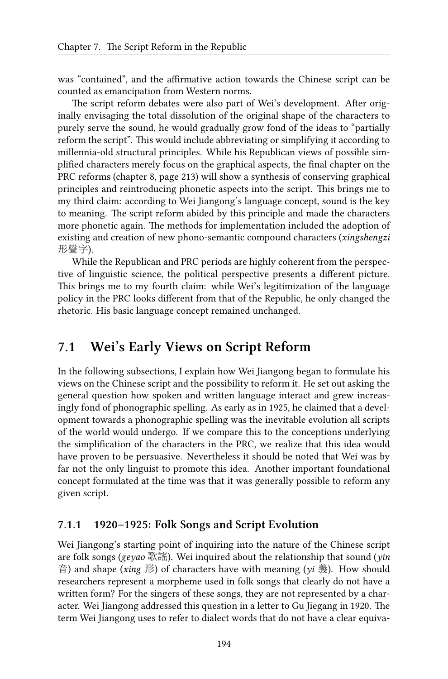was "contained", and the affirmative action towards the Chinese script can be counted as emancipation from Western norms.

The script reform debates were also part of Wei's development. After originally envisaging the total dissolution of the original shape of the characters to purely serve the sound, he would gradually grow fond of the ideas to "partially reform the script". This would include abbreviating or simplifying it according to millennia-old structural principles. While his Republican views of possible simplified characters merely focus on the graphical aspects, the final chapter on the PRC reforms (chapter 8, page 213) will show a synthesis of conserving graphical principles and reintroducing phonetic aspects into the script. This brings me to my third claim: according to Wei Jiangong's language concept, sound is the key to meaning. The script reform abided by this principle and made the characters more phonetic again. The methods for implementation included the adoption of existing and creation of new phono-semantic compound characters (*xingshengzi* 形聲字).

While the Republican and PRC periods are highly coherent from the perspective of linguistic science, the political perspective presents a different picture. This brings me to my fourth claim: while Wei's legitimization of the language policy in the PRC looks different from that of the Republic, he only changed the rhetoric. His basic language concept remained unchanged.

## **7.1 Wei's Early Views on Script Reform**

In the following subsections, I explain how Wei Jiangong began to formulate his views on the Chinese script and the possibility to reform it. He set out asking the general question how spoken and written language interact and grew increasingly fond of phonographic spelling. As early as in 1925, he claimed that a development towards a phonographic spelling was the inevitable evolution all scripts of the world would undergo. If we compare this to the conceptions underlying the simplification of the characters in the PRC, we realize that this idea would have proven to be persuasive. Nevertheless it should be noted that Wei was by far not the only linguist to promote this idea. Another important foundational concept formulated at the time was that it was generally possible to reform any given script.

#### **7.1.1 1920–1925: Folk Songs and Script Evolution**

Wei Jiangong's starting point of inquiring into the nature of the Chinese script are folk songs (*geyao* 歌謠). Wei inquired about the relationship that sound (*yin* 音) and shape (*xing* 形) of characters have with meaning (*yi* 義). How should researchers represent a morpheme used in folk songs that clearly do not have a written form? For the singers of these songs, they are not represented by a character. Wei Jiangong addressed this question in a letter to Gu Jiegang in 1920. The term Wei Jiangong uses to refer to dialect words that do not have a clear equiva-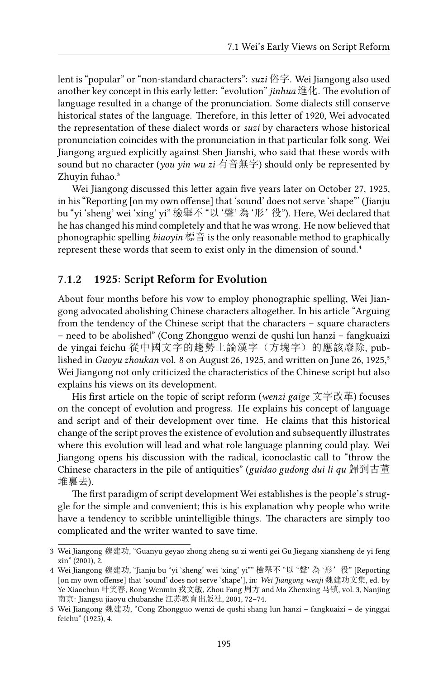lent is "popular" or "non-standard characters": *suzi* 俗字. Wei Jiangong also used another key concept in this early letter: "evolution" *jinhua* 進化. The evolution of language resulted in a change of the pronunciation. Some dialects still conserve historical states of the language. Therefore, in this letter of 1920, Wei advocated the representation of these dialect words or *suzi* by characters whose historical pronunciation coincides with the pronunciation in that particular folk song. Wei Jiangong argued explicitly against Shen Jianshi, who said that these words with sound but no character (*you yin wu zi* 有音無字) should only be represented by Zhuyin fuhao.<sup>3</sup>

Wei Jiangong discussed this letter again five years later on October 27, 1925, in his "Reporting [on my own offense] that 'sound' does not serve 'shape"' (Jianju bu "yi 'sheng' wei 'xing' yi" 檢舉不 "以 '聲' 為 '形'役"). Here, Wei declared that he has changed his mind completely and that he was wrong. He now believed that phonographic spelling *biaoyin* 標音 is the only reasonable method to graphically represent these words that seem to exist only in the dimension of sound.<sup>4</sup>

#### **7.1.2 1925: Script Reform for Evolution**

About four months before his vow to employ phonographic spelling, Wei Jiangong advocated abolishing Chinese characters altogether. In his article "Arguing from the tendency of the Chinese script that the characters – square characters – need to be abolished" (Cong Zhongguo wenzi de qushi lun hanzi – fangkuaizi de yingai feichu 從中國文字的趨勢上論漢字(方塊字)的應該廢除, published in *Guoyu zhoukan* vol. 8 on August 26, 1925, and written on June 26, 1925,<sup>5</sup> Wei Jiangong not only criticized the characteristics of the Chinese script but also explains his views on its development.

His first article on the topic of script reform (*wenzi gaige* 文字改革) focuses on the concept of evolution and progress. He explains his concept of language and script and of their development over time. He claims that this historical change of the script proves the existence of evolution and subsequently illustrates where this evolution will lead and what role language planning could play. Wei Jiangong opens his discussion with the radical, iconoclastic call to "throw the Chinese characters in the pile of antiquities" (*guidao gudong dui li qu* 歸到古董 堆裏去).

The first paradigm of script development Wei establishes is the people's struggle for the simple and convenient; this is his explanation why people who write have a tendency to scribble unintelligible things. The characters are simply too complicated and the writer wanted to save time.

<sup>3</sup> Wei Jiangong 魏建功, "Guanyu geyao zhong zheng su zi wenti gei Gu Jiegang xiansheng de yi feng xin" (2001), 2.

<sup>4</sup> Wei Jiangong 魏建功, "Jianju bu "yi 'sheng' wei 'xing' yi"" 檢舉不 "以 "聲"為 '形'役" [Reporting [on my own offense] that 'sound' does not serve 'shape'], in: *Wei Jiangong wenji* 魏建功文集, ed. by Ye Xiaochun 叶笑春, Rong Wenmin 戎文敏, Zhou Fang 周方 and Ma Zhenxing 马镇, vol. 3, Nanjing 南京: Jiangsu jiaoyu chubanshe 江苏教育出版社, 2001, 72–74.

<sup>5</sup> Wei Jiangong 魏建功, "Cong Zhongguo wenzi de qushi shang lun hanzi – fangkuaizi – de yinggai feichu" (1925), 4.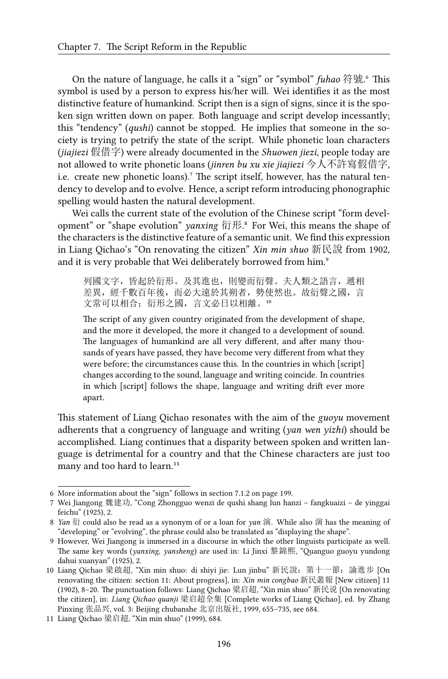On the nature of language, he calls it a "sign" or "symbol" *fuhao* 符號<sup>6</sup>. This symbol is used by a person to express his/her will. Wei identifies it as the most distinctive feature of humankind. Script then is a sign of signs, since it is the spoken sign written down on paper. Both language and script develop incessantly; this "tendency" (*qushi*) cannot be stopped. He implies that someone in the society is trying to petrify the state of the script. While phonetic loan characters (*jiajiezi* 假借字) were already documented in the *Shuowen jiezi*, people today are not allowed to write phonetic loans (*jinren bu xu xie jiajiezi* 今人不許寫假借字, i.e. create new phonetic loans).<sup>7</sup> The script itself, however, has the natural tendency to develop and to evolve. Hence, a script reform introducing phonographic spelling would hasten the natural development.

Wei calls the current state of the evolution of the Chinese script "form development" or "shape evolution" *yanxing* 衍形.<sup>8</sup> For Wei, this means the shape of the characters is the distinctive feature of a semantic unit. We find this expression in Liang Qichao's "On renovating the citizen" *Xin min shuo* 新民說 from 1902, and it is very probable that Wei deliberately borrowed from him.<sup>9</sup>

列國文字,皆起於衍形。及其進也,則變而衍聲。夫人類之語言,遞相 差異,經千數百年後,而必大遠於其朔者,勢使然也。故衍聲之國,言 文常可以相合; 衍形之國, 言文必日以相離。10

The script of any given country originated from the development of shape, and the more it developed, the more it changed to a development of sound. The languages of humankind are all very different, and after many thousands of years have passed, they have become very different from what they were before; the circumstances cause this. In the countries in which [script] changes according to the sound, language and writing coincide. In countries in which [script] follows the shape, language and writing drift ever more apart.

This statement of Liang Qichao resonates with the aim of the *guoyu* movement adherents that a congruency of language and writing (*yan wen yizhi*) should be accomplished. Liang continues that a disparity between spoken and written language is detrimental for a country and that the Chinese characters are just too many and too hard to learn.<sup>11</sup>

<sup>6</sup> More information about the "sign" follows in section 7.1.2 on page 199.

<sup>7</sup> Wei Jiangong 魏建功, "Cong Zhongguo wenzi de qushi shang lun hanzi – fangkuaizi – de yinggai feichu" (1925), 2.

<sup>8</sup> *Yan* 衍 could also be read as a synonym of or a loan for *yan* 演. While also 演 has the meaning of "developing" or "evolving", the phrase could also be translated as "displaying the shape".

<sup>9</sup> However, Wei Jiangong is immersed in a discourse in which the other linguists participate as well. The same key words (*yanxing*, *yansheng*) are used in: Li Jinxi 黎錦熙, "Quanguo guoyu yundong dahui xuanyan" (1925), 2.

<sup>10</sup> Liang Qichao 梁啟超, "Xin min shuo: di shiyi jie: Lun jinbu" 新民說:第十一節:論進步 [On renovating the citizen: section 11: About progress], in: *Xin min congbao* 新民叢報 [New citizen] 11 (1902), 8–20. The punctuation follows: Liang Qichao 梁启超, "Xin min shuo" 新民说 [On renovating the citizen], in: *Liang Qichao quanji* 梁启超全集 [Complete works of Liang Qichao], ed. by Zhang Pinxing 张品兴, vol. 3: Beijing chubanshe 北京出版社, 1999, 655–735, see 684.

<sup>11</sup> Liang Qichao 梁启超, "Xin min shuo" (1999), 684.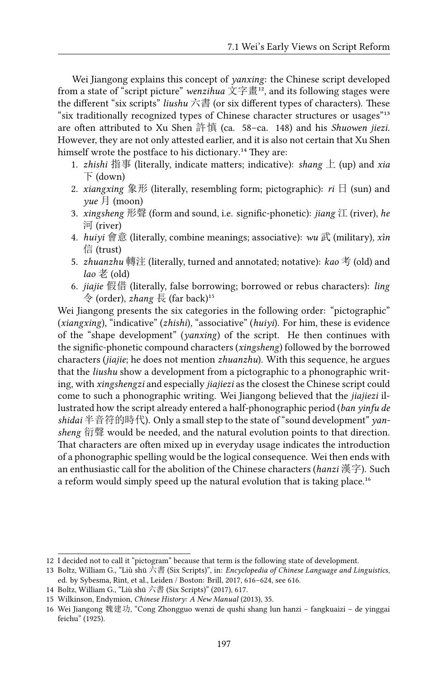Wei Jiangong explains this concept of *yanxing*: the Chinese script developed from a state of "script picture" *wenzihua*  $\overline{\chi} \ddot{\Xi} \overline{\Xi}^{12}$ , and its following stages were the different "six scripts" *liushu* 六書 (or six different types of characters). These "six traditionally recognized types of Chinese character structures or usages"<sup>13</sup> are often attributed to Xu Shen 許慎 (ca. 58–ca. 148) and his *Shuowen jiezi*. However, they are not only attested earlier, and it is also not certain that Xu Shen himself wrote the postface to his dictionary.<sup>14</sup> They are:

- 1. *zhishi* 指事 (literally, indicate matters; indicative): *shang* 上 (up) and *xia* 下 (down)
- 2. *xiangxing* 象形 (literally, resembling form; pictographic): *ri* 日 (sun) and *yue* 月 (moon)
- 3. *xingsheng* 形聲 (form and sound, i.e. signific-phonetic): *jiang* 江 (river), *he* 河 (river)
- 4. *huiyi* 會意 (literally, combine meanings; associative): *wu* 武 (military), *xìn* 信 (trust)
- 5. *zhuanzhu* 轉注 (literally, turned and annotated; notative): *kao* 考 (old) and *lao* 老 (old)
- 6. *jiajie* 假借 (literally, false borrowing; borrowed or rebus characters): *ling* 令 (order), *zhang* 長 (far back)<sup>15</sup>

Wei Jiangong presents the six categories in the following order: "pictographic" (*xiangxing*), "indicative" (*zhishi*), "associative" (*huiyi*). For him, these is evidence of the "shape development" (*yanxing*) of the script. He then continues with the signific-phonetic compound characters (*xingsheng*) followed by the borrowed characters (*jiajie*; he does not mention *zhuanzhu*). With this sequence, he argues that the *liushu* show a development from a pictographic to a phonographic writing, with *xingshengzi* and especially *jiajiezi* as the closest the Chinese script could come to such a phonographic writing. Wei Jiangong believed that the *jiajiezi* illustrated how the script already entered a half-phonographic period (*ban yinfu de shidai* 半音符的時代). Only a small step to the state of "sound development" *yansheng* 衍聲 would be needed, and the natural evolution points to that direction. That characters are often mixed up in everyday usage indicates the introduction of a phonographic spelling would be the logical consequence. Wei then ends with an enthusiastic call for the abolition of the Chinese characters (*hanzi* 漢字). Such a reform would simply speed up the natural evolution that is taking place.<sup>16</sup>

<sup>12</sup> I decided not to call it "pictogram" because that term is the following state of development.

<sup>13</sup> Boltz, William G., "Liù shū 六書 (Six Scripts)", in: *Encyclopedia of Chinese Language and Linguistics*, ed. by Sybesma, Rint, et al., Leiden / Boston: Brill, 2017, 616–624, see 616.

<sup>14</sup> Boltz, William G., "Liù shū 六書 (Six Scripts)" (2017), 617.

<sup>15</sup> Wilkinson, Endymion, *Chinese History: A New Manual* (2013), 35.

<sup>16</sup> Wei Jiangong 魏建功, "Cong Zhongguo wenzi de qushi shang lun hanzi – fangkuaizi – de yinggai feichu" (1925).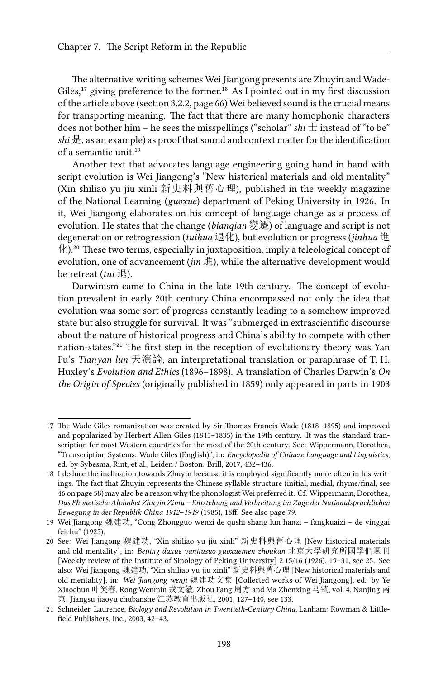The alternative writing schemes Wei Jiangong presents are Zhuyin and Wade-Giles,<sup>17</sup> giving preference to the former.<sup>18</sup> As I pointed out in my first discussion of the article above (section 3.2.2, page 66) Wei believed sound is the crucial means for transporting meaning. The fact that there are many homophonic characters does not bother him – he sees the misspellings ("scholar" *shi*  $\pm$  instead of "to be" *shi* 是, as an example) as proof that sound and context matter for the identification of a semantic unit.<sup>19</sup>

Another text that advocates language engineering going hand in hand with script evolution is Wei Jiangong's "New historical materials and old mentality" (Xin shiliao yu jiu xinli 新史料與舊心理), published in the weekly magazine of the National Learning (*guoxue*) department of Peking University in 1926. In it, Wei Jiangong elaborates on his concept of language change as a process of evolution. He states that the change (*bianqian* 變遷) of language and script is not degeneration or retrogression (*tuihua* 退化), but evolution or progress (*jinhua* 進 化).²⁰ These two terms, especially in juxtaposition, imply a teleological concept of evolution, one of advancement (*jin* 進), while the alternative development would be retreat (*tui* 退).

Darwinism came to China in the late 19th century. The concept of evolution prevalent in early 20th century China encompassed not only the idea that evolution was some sort of progress constantly leading to a somehow improved state but also struggle for survival. It was "submerged in extrascientific discourse about the nature of historical progress and China's ability to compete with other nation-states."<sup>21</sup> The first step in the reception of evolutionary theory was Yan Fu's *Tianyan lun* 天演論, an interpretational translation or paraphrase of T. H. Huxley's *Evolution and Ethics* (1896–1898). A translation of Charles Darwin's *On the Origin of Species* (originally published in 1859) only appeared in parts in 1903

<sup>17</sup> The Wade-Giles romanization was created by Sir Thomas Francis Wade (1818–1895) and improved and popularized by Herbert Allen Giles (1845–1835) in the 19th century. It was the standard transcription for most Western countries for the most of the 20th century. See: Wippermann, Dorothea, "Transcription Systems: Wade-Giles (English)", in: *Encyclopedia of Chinese Language and Linguistics*, ed. by Sybesma, Rint, et al., Leiden / Boston: Brill, 2017, 432–436.

<sup>18</sup> I deduce the inclination towards Zhuyin because it is employed significantly more often in his writings. The fact that Zhuyin represents the Chinese syllable structure (initial, medial, rhyme/final, see 46 on page 58) may also be a reason why the phonologist Wei preferred it. Cf. Wippermann, Dorothea, *Das Phonetische Alphabet Zhuyin Zimu – Entstehung und Verbreitung im Zuge der Nationalsprachlichen Bewegung in der Republik China 1912–1949* (1985), 18ff. See also page 79.

<sup>19</sup> Wei Jiangong 魏建功, "Cong Zhongguo wenzi de qushi shang lun hanzi – fangkuaizi – de yinggai feichu" (1925).

<sup>20</sup> See: Wei Jiangong 魏建功, "Xin shiliao yu jiu xinli" 新史料與舊心理 [New historical materials and old mentality], in: *Beijing daxue yanjiusuo guoxuemen zhoukan* 北京大學研究所國學們週刊 [Weekly review of the Institute of Sinology of Peking University] 2.15/16 (1926), 19–31, see 25. See also: Wei Jiangong 魏建功, "Xin shiliao yu jiu xinli" 新史料與舊心理 [New historical materials and old mentality], in: *Wei Jiangong wenji* 魏建功文集 [Collected works of Wei Jiangong], ed. by Ye Xiaochun 叶笑春, Rong Wenmin 戎文敏, Zhou Fang 周方 and Ma Zhenxing 马镇, vol. 4, Nanjing 南 京: Jiangsu jiaoyu chubanshe 江苏教育出版社, 2001, 127–140, see 133.

<sup>21</sup> Schneider, Laurence, *Biology and Revolution in Twentieth-Century China*, Lanham: Rowman & Littlefield Publishers, Inc., 2003, 42–43.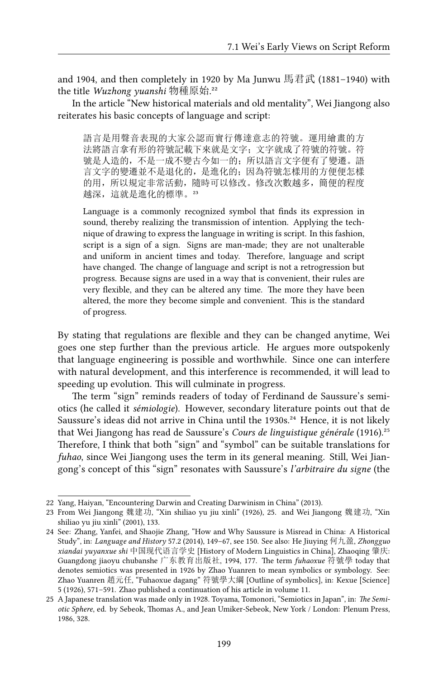and 1904, and then completely in 1920 by Ma Junwu 馬君武 (1881–1940) with the title *Wuzhong yuanshi* 物種原始.²²

In the article "New historical materials and old mentality", Wei Jiangong also reiterates his basic concepts of language and script:

語言是用聲音表現的大家公認而實行傳達意志的符號。運用繪畫的方 法將語言拿有形的符號記載下來就是文字;文字就成了符號的符號。符 號是人造的,不是一成不變古今如一的;所以語言文字便有了變遷。語 言文字的變遷並不是退化的,是進化的;因為符號怎樣用的方便便怎樣 的用,所以規定非常活動,隨時可以修改。修改次數越多,簡便的程度 越深,這就是進化的標準。23

Language is a commonly recognized symbol that finds its expression in sound, thereby realizing the transmission of intention. Applying the technique of drawing to express the language in writing is script. In this fashion, script is a sign of a sign. Signs are man-made; they are not unalterable and uniform in ancient times and today. Therefore, language and script have changed. The change of language and script is not a retrogression but progress. Because signs are used in a way that is convenient, their rules are very flexible, and they can be altered any time. The more they have been altered, the more they become simple and convenient. This is the standard of progress.

By stating that regulations are flexible and they can be changed anytime, Wei goes one step further than the previous article. He argues more outspokenly that language engineering is possible and worthwhile. Since one can interfere with natural development, and this interference is recommended, it will lead to speeding up evolution. This will culminate in progress.

The term "sign" reminds readers of today of Ferdinand de Saussure's semiotics (he called it *sémiologie*). However, secondary literature points out that de Saussure's ideas did not arrive in China until the 1930s.<sup>24</sup> Hence, it is not likely that Wei Jiangong has read de Saussure's *Cours de linguistique générale* (1916).<sup>25</sup> Therefore, I think that both "sign" and "symbol" can be suitable translations for *fuhao*, since Wei Jiangong uses the term in its general meaning. Still, Wei Jiangong's concept of this "sign" resonates with Saussure's *l'arbitraire du signe* (the

<sup>22</sup> Yang, Haiyan, "Encountering Darwin and Creating Darwinism in China" (2013).

<sup>23</sup> From Wei Jiangong 魏建功, "Xin shiliao yu jiu xinli" (1926), 25. and Wei Jiangong 魏建功, "Xin shiliao yu jiu xinli" (2001), 133.

<sup>24</sup> See: Zhang, Yanfei, and Shaojie Zhang, "How and Why Saussure is Misread in China: A Historical Study", in: *Language and History* 57.2 (2014), 149–67, see 150. See also: He Jiuying 何九盈, *Zhongguo xiandai yuyanxue shi* 中国现代语言学史 [History of Modern Linguistics in China], Zhaoqing 肇庆: Guangdong jiaoyu chubanshe 广东教育出版社, 1994, 177. The term *fuhaoxue* 符號學 today that denotes semiotics was presented in 1926 by Zhao Yuanren to mean symbolics or symbology. See: Zhao Yuanren 趙元任, "Fuhaoxue dagang" 符號學大綱 [Outline of symbolics], in: Kexue [Science] 5 (1926), 571–591. Zhao published a continuation of his article in volume 11.

<sup>25</sup> A Japanese translation was made only in 1928. Toyama, Tomonori, "Semiotics in Japan", in: *The Semiotic Sphere*, ed. by Sebeok, Thomas A., and Jean Umiker-Sebeok, New York / London: Plenum Press, 1986, 328.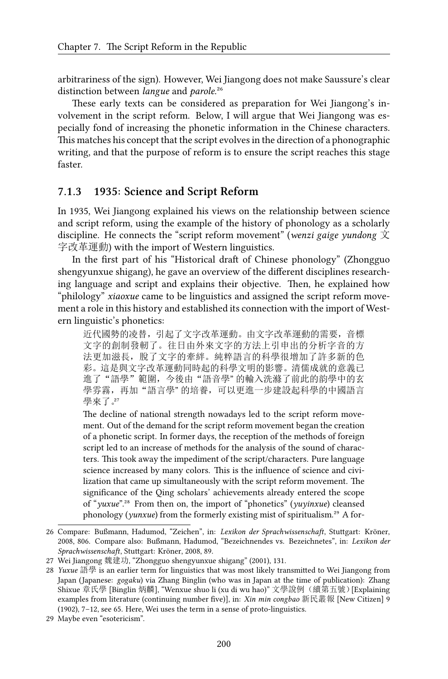arbitrariness of the sign). However, Wei Jiangong does not make Saussure's clear distinction between *langue* and *parole*.<sup>26</sup>

These early texts can be considered as preparation for Wei Jiangong's involvement in the script reform. Below, I will argue that Wei Jiangong was especially fond of increasing the phonetic information in the Chinese characters. This matches his concept that the script evolves in the direction of a phonographic writing, and that the purpose of reform is to ensure the script reaches this stage faster.

#### **7.1.3 1935: Science and Script Reform**

In 1935, Wei Jiangong explained his views on the relationship between science and script reform, using the example of the history of phonology as a scholarly discipline. He connects the "script reform movement" (*wenzi gaige yundong* 文 字改革運動) with the import of Western linguistics.

In the first part of his "Historical draft of Chinese phonology" (Zhongguo shengyunxue shigang), he gave an overview of the different disciplines researching language and script and explains their objective. Then, he explained how "philology" *xiaoxue* came to be linguistics and assigned the script reform movement a role in this history and established its connection with the import of Western linguistic's phonetics:

近代國勢的凌替,引起了文字改革運動。由文字改革運動的需要,音標 文字的創制發軔了。往日由外來文字的方法上引申出的分析字音的方 法更加滋長, 脫了文字的牽絆。純粹語言的科學很增加了許多新的色 彩。這是與文字改革運動同時起的科學文明的影響。清儒成就的意義已 進了"語學"範圍, 今後由"語音學"的輸入洗滌了前此的韵學中的玄 學雰霧,再加"語言學"的培養,可以更進一步建設起科學的中國語言 學來了。27

The decline of national strength nowadays led to the script reform movement. Out of the demand for the script reform movement began the creation of a phonetic script. In former days, the reception of the methods of foreign script led to an increase of methods for the analysis of the sound of characters. This took away the impediment of the script/characters. Pure language science increased by many colors. This is the influence of science and civilization that came up simultaneously with the script reform movement. The significance of the Qing scholars' achievements already entered the scope of "*yuxue*".²⁸ From then on, the import of "phonetics" (*yuyinxue*) cleansed phonology (*yunxue*) from the formerly existing mist of spiritualism.<sup>29</sup> A for-

<sup>26</sup> Compare: Bußmann, Hadumod, "Zeichen", in: *Lexikon der Sprachwissenschaft*, Stuttgart: Kröner, 2008, 806. Compare also: Bußmann, Hadumod, "Bezeichnendes vs. Bezeichnetes", in: *Lexikon der Sprachwissenschaft*, Stuttgart: Kröner, 2008, 89.

<sup>27</sup> Wei Jiangong 魏建功, "Zhongguo shengyunxue shigang" (2001), 131.

<sup>28</sup> *Yuxue* 語學 is an earlier term for linguistics that was most likely transmitted to Wei Jiangong from Japan (Japanese: *gogaku*) via Zhang Binglin (who was in Japan at the time of publication): Zhang Shixue 章氏學 [Binglin 炳麟], "Wenxue shuo li (xu di wu hao)" 文學說例(續第五號)[Explaining examples from literature (continuing number five)], in: *Xin min congbao* 新民叢報 [New Citizen] 9 (1902), 7–12, see 65. Here, Wei uses the term in a sense of proto-linguistics.

<sup>29</sup> Maybe even "esotericism".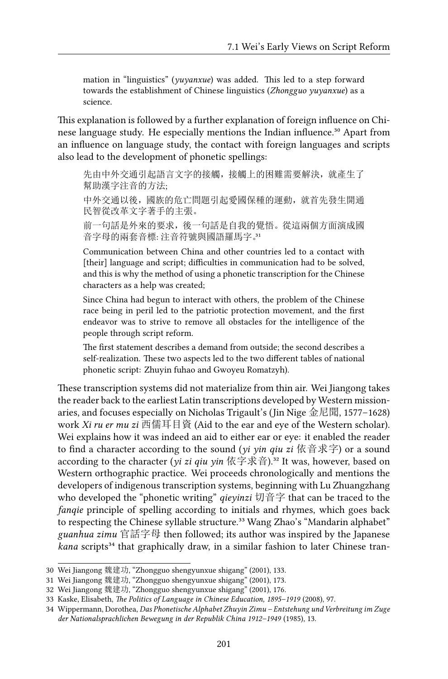mation in "linguistics" (*yuyanxue*) was added. This led to a step forward towards the establishment of Chinese linguistics (*Zhongguo yuyanxue*) as a science.

This explanation is followed by a further explanation of foreign influence on Chinese language study. He especially mentions the Indian influence.<sup>30</sup> Apart from an influence on language study, the contact with foreign languages and scripts also lead to the development of phonetic spellings:

先由中外交通引起語言文字的接觸,接觸上的困難需要解決,就產生了 幫助漢字注音的方法;

中外交通以後,國族的危亡問題引起愛國保種的運動,就首先發生開通 民智從改革文字著手的主張。

前一句話是外來的要求,後一句話是自我的覺悟。從這兩個方面演成國 音字母的兩套音標: 注音符號與國語羅馬字。31

Communication between China and other countries led to a contact with [their] language and script; difficulties in communication had to be solved, and this is why the method of using a phonetic transcription for the Chinese characters as a help was created;

Since China had begun to interact with others, the problem of the Chinese race being in peril led to the patriotic protection movement, and the first endeavor was to strive to remove all obstacles for the intelligence of the people through script reform.

The first statement describes a demand from outside; the second describes a self-realization. These two aspects led to the two different tables of national phonetic script: Zhuyin fuhao and Gwoyeu Romatzyh).

These transcription systems did not materialize from thin air. Wei Jiangong takes the reader back to the earliest Latin transcriptions developed by Western missionaries, and focuses especially on Nicholas Trigault's (Jin Nige 金尼聞, 1577–1628) work *Xi ru er mu zi* 西儒耳目資 (Aid to the ear and eye of the Western scholar). Wei explains how it was indeed an aid to either ear or eye: it enabled the reader to find a character according to the sound (*yi yin qiu zi* 依音求字) or a sound according to the character (*yi zi qiu yin* 依字求音).<sup>32</sup> It was, however, based on Western orthographic practice. Wei proceeds chronologically and mentions the developers of indigenous transcription systems, beginning with Lu Zhuangzhang who developed the "phonetic writing" *qieyinzi* 切音字 that can be traced to the *fanqie* principle of spelling according to initials and rhymes, which goes back to respecting the Chinese syllable structure.<sup>33</sup> Wang Zhao's "Mandarin alphabet" *guanhua zimu* 官話字母 then followed; its author was inspired by the Japanese *kana* scripts<sup>34</sup> that graphically draw, in a similar fashion to later Chinese tran-

<sup>30</sup> Wei Jiangong 魏建功, "Zhongguo shengyunxue shigang" (2001), 133.

<sup>31</sup> Wei Jiangong 魏建功, "Zhongguo shengyunxue shigang" (2001), 173.

<sup>32</sup> Wei Jiangong 魏建功, "Zhongguo shengyunxue shigang" (2001), 176.

<sup>33</sup> Kaske, Elisabeth, *The Politics of Language in Chinese Education, 1895–1919* (2008), 97.

<sup>34</sup> Wippermann, Dorothea, *Das Phonetische Alphabet Zhuyin Zimu – Entstehung und Verbreitung im Zuge der Nationalsprachlichen Bewegung in der Republik China 1912–1949* (1985), 13.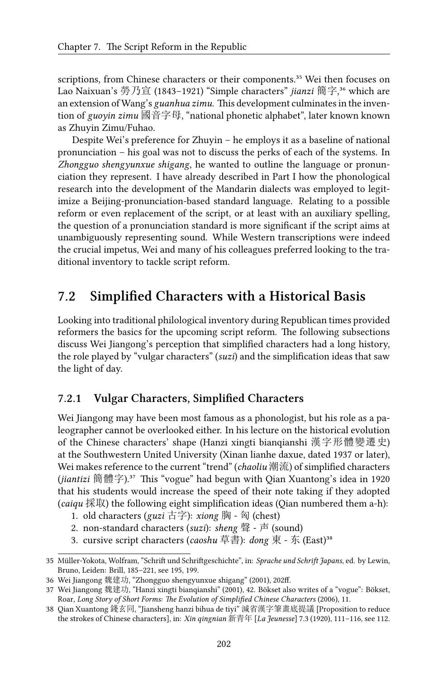scriptions, from Chinese characters or their components.<sup>35</sup> Wei then focuses on Lao Naixuan's 勞乃宣 (1843–1921) "Simple characters" *jianzi* 簡字,<sup>36</sup> which are an extension of Wang's *guanhua zimu*. This development culminates in the invention of *guoyin zimu* 國音字母, "national phonetic alphabet", later known known as Zhuyin Zimu/Fuhao.

Despite Wei's preference for Zhuyin – he employs it as a baseline of national pronunciation – his goal was not to discuss the perks of each of the systems. In *Zhongguo shengyunxue shigang*, he wanted to outline the language or pronunciation they represent. I have already described in Part I how the phonological research into the development of the Mandarin dialects was employed to legitimize a Beijing-pronunciation-based standard language. Relating to a possible reform or even replacement of the script, or at least with an auxiliary spelling, the question of a pronunciation standard is more significant if the script aims at unambiguously representing sound. While Western transcriptions were indeed the crucial impetus, Wei and many of his colleagues preferred looking to the traditional inventory to tackle script reform.

## **7.2 Simplified Characters with a Historical Basis**

Looking into traditional philological inventory during Republican times provided reformers the basics for the upcoming script reform. The following subsections discuss Wei Jiangong's perception that simplified characters had a long history, the role played by "vulgar characters" (*suzi*) and the simplification ideas that saw the light of day.

#### **7.2.1 Vulgar Characters, Simplified Characters**

Wei Jiangong may have been most famous as a phonologist, but his role as a paleographer cannot be overlooked either. In his lecture on the historical evolution of the Chinese characters' shape (Hanzi xingti bianqianshi 漢字形體變遷史) at the Southwestern United University (Xinan lianhe daxue, dated 1937 or later), Wei makes reference to the current "trend" (*chaoliu* 潮流) of simplified characters (*jiantizi* 簡體字).³⁷ This "vogue" had begun with Qian Xuantong's idea in 1920 that his students would increase the speed of their note taking if they adopted (*caiqu* 採取) the following eight simplification ideas (Qian numbered them a-h):

1. old characters (*guzi* 古字): *xiong* 胸 - 匈 (chest)

- 2. non-standard characters (*suzi*): *sheng* 聲 声 (sound)
- 3. cursive script characters (*caoshu* 草書): *dong* 東 东 (East)³⁸

<sup>35</sup> Müller-Yokota, Wolfram, "Schrift und Schriftgeschichte", in: *Sprache und Schrift Japans*, ed. by Lewin, Bruno, Leiden: Brill, 185–221, see 195, 199.

<sup>36</sup> Wei Jiangong 魏建功, "Zhongguo shengyunxue shigang" (2001), 202ff.

<sup>37</sup> Wei Jiangong 魏建功, "Hanzi xingti bianqianshi" (2001), 42. Bökset also writes of a "vogue": Bökset, Roar, *Long Story of Short Forms: The Evolution of Simplified Chinese Characters* (2006), 11.

<sup>38</sup> Qian Xuantong 錢玄同, "Jiansheng hanzi bihua de tiyi" 減省漢字筆畫底提議 [Proposition to reduce the strokes of Chinese characters], in: *Xin qingnian* 新青年 [*La Jeunesse*] 7.3 (1920), 111–116, see 112.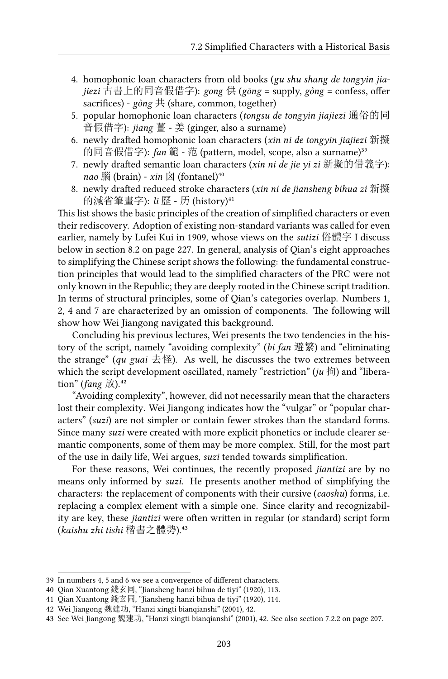- 4. homophonic loan characters from old books (*gu shu shang de tongyin jiajiezi* 古書上的同音假借字): *gong* 供 (*gōng* = supply, *gòng* = confess, offer sacrifices) - *gòng* 共 (share, common, together)
- 5. popular homophonic loan characters (*tongsu de tongyin jiajiezi* 通俗的同 音假借字): *jiang* 薑 - 姜 (ginger, also a surname)
- 6. newly drafted homophonic loan characters (*xin ni de tongyin jiajiezi* 新擬 的同音假借字): *fan* 範 - 范 (pattern, model, scope, also a surname)<sup>39</sup>
- 7. newly drafted semantic loan characters (*xin ni de jie yi zi* 新擬的借義字):  $nao \frac{m}{100}$  (brain) - *xin*  $\boxtimes$  (fontanel)<sup>40</sup>
- 8. newly drafted reduced stroke characters (*xin ni de jiansheng bihua zi* 新擬 的減省筆畫字): *li* 歷 - 历 (history)⁴¹

This list shows the basic principles of the creation of simplified characters or even their rediscovery. Adoption of existing non-standard variants was called for even earlier, namely by Lufei Kui in 1909, whose views on the *sutizi* 俗體字 I discuss below in section 8.2 on page 227. In general, analysis of Qian's eight approaches to simplifying the Chinese script shows the following: the fundamental construction principles that would lead to the simplified characters of the PRC were not only known in the Republic; they are deeply rooted in the Chinese script tradition. In terms of structural principles, some of Qian's categories overlap. Numbers 1, 2, 4 and 7 are characterized by an omission of components. The following will show how Wei Jiangong navigated this background.

Concluding his previous lectures, Wei presents the two tendencies in the history of the script, namely "avoiding complexity" (*bi fan* 避繁) and "eliminating the strange" (*qu guai*  $\pm \mathbb{E}$ ). As well, he discusses the two extremes between which the script development oscillated, namely "restriction" (*ju* 拘) and "liberation" ( $fang \; \nightharpoonup$ ).<sup>42</sup>

"Avoiding complexity", however, did not necessarily mean that the characters lost their complexity. Wei Jiangong indicates how the "vulgar" or "popular characters" (*suzi*) are not simpler or contain fewer strokes than the standard forms. Since many *suzi* were created with more explicit phonetics or include clearer semantic components, some of them may be more complex. Still, for the most part of the use in daily life, Wei argues, *suzi* tended towards simplification.

For these reasons, Wei continues, the recently proposed *jiantizi* are by no means only informed by *suzi*. He presents another method of simplifying the characters: the replacement of components with their cursive (*caoshu*) forms, i.e. replacing a complex element with a simple one. Since clarity and recognizability are key, these *jiantizi* were often written in regular (or standard) script form (*kaishu zhi tishi* 楷書之體勢).⁴³

<sup>39</sup> In numbers 4, 5 and 6 we see a convergence of different characters.

<sup>40</sup> Qian Xuantong 錢玄同, "Jiansheng hanzi bihua de tiyi" (1920), 113.

<sup>41</sup> Qian Xuantong 錢玄同, "Jiansheng hanzi bihua de tiyi" (1920), 114.

<sup>42</sup> Wei Jiangong 魏建功, "Hanzi xingti bianqianshi" (2001), 42.

<sup>43</sup> See Wei Jiangong 魏建功, "Hanzi xingti bianqianshi" (2001), 42. See also section 7.2.2 on page 207.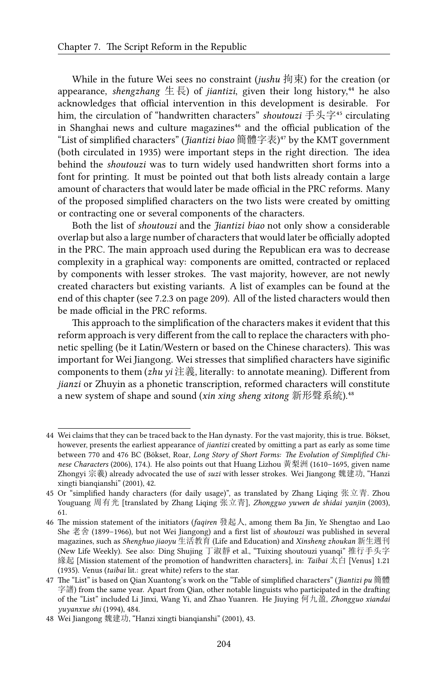While in the future Wei sees no constraint (*jushu* 拘束) for the creation (or appearance, *shengzhang*  $\notin \mathbb{R}$ ) of *jiantizi*, given their long history,<sup>44</sup> he also acknowledges that official intervention in this development is desirable. For him, the circulation of "handwritten characters" *shoutouzi* 手头字<sup>45</sup> circulating in Shanghai news and culture magazines<sup>46</sup> and the official publication of the "List of simplified characters" (*Jiantizi biao* 簡體字表)⁴⁷ by the KMT government (both circulated in 1935) were important steps in the right direction. The idea behind the *shoutouzi* was to turn widely used handwritten short forms into a font for printing. It must be pointed out that both lists already contain a large amount of characters that would later be made official in the PRC reforms. Many of the proposed simplified characters on the two lists were created by omitting or contracting one or several components of the characters.

Both the list of *shoutouzi* and the *Jiantizi biao* not only show a considerable overlap but also a large number of characters that would later be officially adopted in the PRC. The main approach used during the Republican era was to decrease complexity in a graphical way: components are omitted, contracted or replaced by components with lesser strokes. The vast majority, however, are not newly created characters but existing variants. A list of examples can be found at the end of this chapter (see 7.2.3 on page 209). All of the listed characters would then be made official in the PRC reforms.

This approach to the simplification of the characters makes it evident that this reform approach is very different from the call to replace the characters with phonetic spelling (be it Latin/Western or based on the Chinese characters). This was important for Wei Jiangong. Wei stresses that simplified characters have siginific components to them (*zhu yi* 注義, literally: to annotate meaning). Different from *jianzi* or Zhuyin as a phonetic transcription, reformed characters will constitute a new system of shape and sound (*xin xing sheng xitong* 新形聲系統).<sup>48</sup>

<sup>44</sup> Wei claims that they can be traced back to the Han dynasty. For the vast majority, this is true. Bökset, however, presents the earliest appearance of *jiantizi* created by omitting a part as early as some time between 770 and 476 BC (Bökset, Roar, *Long Story of Short Forms: The Evolution of Simplified Chinese Characters* (2006), 174.). He also points out that Huang Lizhou 黃梨洲 (1610–1695, given name Zhongyi 宗羲) already advocated the use of *suzi* with lesser strokes. Wei Jiangong 魏建功, "Hanzi xingti bianqianshi" (2001), 42.

<sup>45</sup> Or "simplified handy characters (for daily usage)", as translated by Zhang Liqing 张立青. Zhou Youguang 周有光 [translated by Zhang Liqing 张立青], *Zhongguo yuwen de shidai yanjin* (2003), 61.

<sup>46</sup> The mission statement of the initiators (*faqiren* 發起人, among them Ba Jin, Ye Shengtao and Lao She 老舍 (1899–1966), but not Wei Jiangong) and a first list of *shoutouzi* was published in several magazines, such as *Shenghuo jiaoyu* 生活教育 (Life and Education) and *Xinsheng zhoukan* 新生週刊 (New Life Weekly). See also: Ding Shujing 丁淑靜 et al., "Tuixing shoutouzi yuanqi" 推行手头字 緣起 [Mission statement of the promotion of handwritten characters], in: *Taibai* 太白 [Venus] 1.21 (1935). Venus (*taibai* lit.: great white) refers to the star.

<sup>47</sup> The "List" is based on Qian Xuantong's work on the "Table of simplified characters" (*Jiantizi pu* 簡體 字譜) from the same year. Apart from Qian, other notable linguists who participated in the drafting of the "List" included Li Jinxi, Wang Yi, and Zhao Yuanren. He Jiuying 何九盈, *Zhongguo xiandai yuyanxue shi* (1994), 484.

<sup>48</sup> Wei Jiangong 魏建功, "Hanzi xingti bianqianshi" (2001), 43.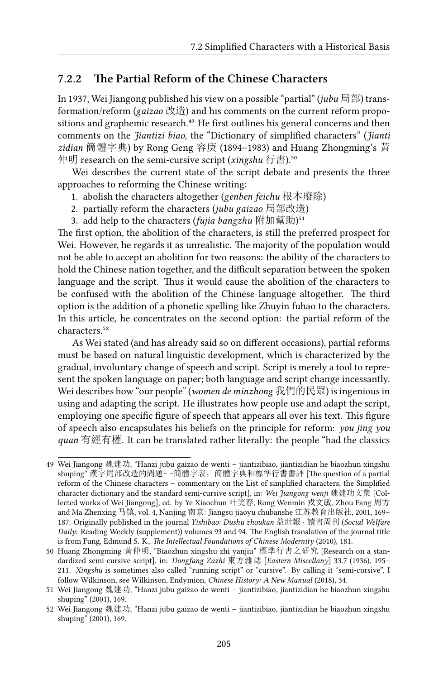#### **7.2.2 The Partial Reform of the Chinese Characters**

In 1937, Wei Jiangong published his view on a possible "partial" (*jubu* 局部) transformation/reform (*gaizao* 改造) and his comments on the current reform propositions and graphemic research.<sup>49</sup> He first outlines his general concerns and then comments on the *Jiantizi biao*, the "Dictionary of simplified characters" (*Jianti zidian* 簡體字典) by Rong Geng 容庚 (1894–1983) and Huang Zhongming's 黃 仲明 research on the semi-cursive script (*xingshu* 行書).<sup>50</sup>

Wei describes the current state of the script debate and presents the three approaches to reforming the Chinese writing:

- 1. abolish the characters altogether (*genben feichu* 根本廢除)
- 2. partially reform the characters (*jubu gaizao* 局部改造)
- 3. add help to the characters (*fujia bangzhu* 附加幫助)<sup>51</sup>

The first option, the abolition of the characters, is still the preferred prospect for Wei. However, he regards it as unrealistic. The majority of the population would not be able to accept an abolition for two reasons: the ability of the characters to hold the Chinese nation together, and the difficult separation between the spoken language and the script. Thus it would cause the abolition of the characters to be confused with the abolition of the Chinese language altogether. The third option is the addition of a phonetic spelling like Zhuyin fuhao to the characters. In this article, he concentrates on the second option: the partial reform of the characters.<sup>52</sup>

As Wei stated (and has already said so on different occasions), partial reforms must be based on natural linguistic development, which is characterized by the gradual, involuntary change of speech and script. Script is merely a tool to represent the spoken language on paper; both language and script change incessantly. Wei describes how "our people" (*women de minzhong* 我們的民眾) is ingenious in using and adapting the script. He illustrates how people use and adapt the script, employing one specific figure of speech that appears all over his text. This figure of speech also encapsulates his beliefs on the principle for reform: *you jing you quan* 有經有權. It can be translated rather literally: the people "had the classics

<sup>49</sup> Wei Jiangong 魏建功, "Hanzi jubu gaizao de wenti – jiantizibiao, jiantizidian he biaozhun xingshu shuping" 漢字局部改造的問題––簡體字表,簡體字典和標準行書書評 [The question of a partial reform of the Chinese characters – commentary on the List of simplified characters, the Simplified character dictionary and the standard semi-cursive script], in: *Wei Jiangong wenji* 魏建功文集 [Collected works of Wei Jiangong], ed. by Ye Xiaochun 叶笑春, Rong Wenmin 戎文敏, Zhou Fang 周方 and Ma Zhenxing 马镇, vol. 4, Nanjing 南京: Jiangsu jiaoyu chubanshe 江苏教育出版社, 2001, 169– 187. Originally published in the journal *Yishibao: Dushu zhoukan* 益世報 *·* 讀書周刊 (*Social Welfare Daily*: Reading Weekly (supplement)) volumes 93 and 94. The English translation of the journal title is from Fung, Edmund S. K., *The Intellectual Foundations of Chinese Modernity* (2010), 181.

<sup>50</sup> Huang Zhongming 黃仲明, "Biaozhun xingshu zhi yanjiu" 標準行書之研究 [Research on a standardized semi-cursive script], in: *Dongfang Zazhi* 東方雜誌 [*Eastern Miscellany*] 33.7 (1936), 195– 211. *Xingshu* is sometimes also called "running script" or "cursive". By calling it "semi-cursive", I follow Wilkinson, see Wilkinson, Endymion, *Chinese History: A New Manual* (2018), 34.

<sup>51</sup> Wei Jiangong 魏建功, "Hanzi jubu gaizao de wenti – jiantizibiao, jiantizidian he biaozhun xingshu shuping" (2001), 169.

<sup>52</sup> Wei Jiangong 魏建功, "Hanzi jubu gaizao de wenti – jiantizibiao, jiantizidian he biaozhun xingshu shuping" (2001), 169.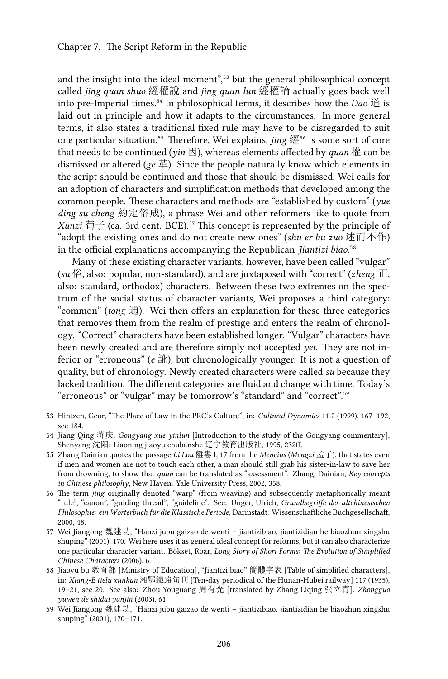and the insight into the ideal moment",<sup>53</sup> but the general philosophical concept called *jing quan shuo* 經權說 and *jing quan lun* 經權論 actually goes back well into pre-Imperial times.⁵⁴ In philosophical terms, it describes how the *Dao* 道 is laid out in principle and how it adapts to the circumstances. In more general terms, it also states a traditional fixed rule may have to be disregarded to suit one particular situation.<sup>55</sup> Therefore, Wei explains, *jing* 經<sup>56</sup> is some sort of core that needs to be continued ( $\psi$ *in*  $\mathbb{E}$ ), whereas elements affected by *quan*  $\mathbb{E}$  can be dismissed or altered (*ge* 革). Since the people naturally know which elements in the script should be continued and those that should be dismissed, Wei calls for an adoption of characters and simplification methods that developed among the common people. These characters and methods are "established by custom" (*yue ding su cheng* 約定俗成), a phrase Wei and other reformers like to quote from *Xunzi* 荀子 (ca. 3rd cent. BCE).<sup>57</sup> This concept is represented by the principle of "adopt the existing ones and do not create new ones" (*shu er bu zuo* 述而不作) in the official explanations accompanying the Republican *Jiantizi biao*.<sup>58</sup>

Many of these existing character variants, however, have been called "vulgar" (*su* 俗, also: popular, non-standard), and are juxtaposed with "correct" (*zheng* 正, also: standard, orthodox) characters. Between these two extremes on the spectrum of the social status of character variants, Wei proposes a third category: "common" (*tong* 通). Wei then offers an explanation for these three categories that removes them from the realm of prestige and enters the realm of chronology. "Correct" characters have been established longer. "Vulgar" characters have been newly created and are therefore simply not accepted *yet*. They are not inferior or "erroneous" (*e* 訛), but chronologically younger. It is not a question of quality, but of chronology. Newly created characters were called *su* because they lacked tradition. The different categories are fluid and change with time. Today's "erroneous" or "vulgar" may be tomorrow's "standard" and "correct".<sup>59</sup>

53 Hintzen, Geor, "The Place of Law in the PRC's Culture", in: *Cultural Dynamics* 11.2 (1999), 167–192, see 184.

- 55 Zhang Dainian quotes the passage *Li Lou* 離婁 I, 17 from the *Mencius* (*Mengzi* 孟子), that states even if men and women are not to touch each other, a man should still grab his sister-in-law to save her from drowning, to show that *quan* can be translated as "assessment". Zhang, Dainian, *Key concepts in Chinese philosophy*, New Haven: Yale University Press, 2002, 358.
- 56 The term *jing* originally denoted "warp" (from weaving) and subsequently metaphorically meant "rule", "canon", "guiding thread", "guideline". See: Unger, Ulrich, *Grundbegriffe der altchinesischen Philosophie: ein Wörterbuch für die Klassische Periode*, Darmstadt: Wissenschaftliche Buchgesellschaft, 2000, 48.
- 57 Wei Jiangong 魏建功, "Hanzi jubu gaizao de wenti jiantizibiao, jiantizidian he biaozhun xingshu shuping" (2001), 170. Wei here uses it as general ideal concept for reforms, but it can also characterize one particular character variant. Bökset, Roar, *Long Story of Short Forms: The Evolution of Simplified Chinese Characters* (2006), 6.
- 58 Jiaoyu bu 教育部 [Ministry of Education], "Jiantizi biao" 簡體字表 [Table of simplified characters], in: *Xiang-E tielu xunkan* 湘鄂鐵路旬刊 [Ten-day periodical of the Hunan-Hubei railway] 117 (1935), 19–21, see 20. See also: Zhou Youguang 周有光 [translated by Zhang Liqing 张立青], *Zhongguo yuwen de shidai yanjin* (2003), 61.
- 59 Wei Jiangong 魏建功, "Hanzi jubu gaizao de wenti jiantizibiao, jiantizidian he biaozhun xingshu shuping" (2001), 170–171.

<sup>54</sup> Jiang Qing 蒋庆, *Gongyang xue yinlun* [Introduction to the study of the Gongyang commentary], Shenyang 沈阳: Liaoning jiaoyu chubanshe 辽宁教育出版社, 1995, 232ff.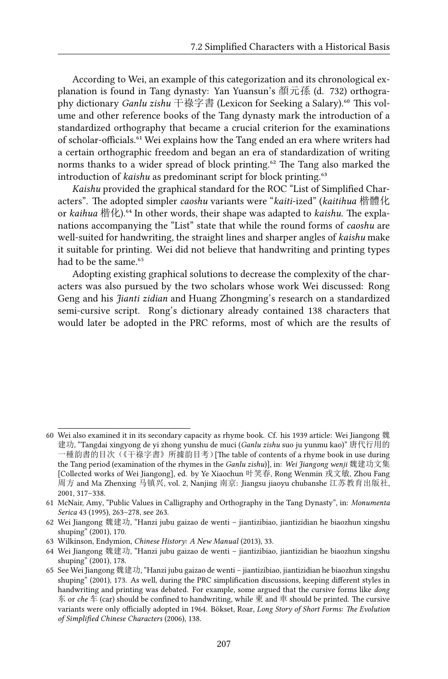According to Wei, an example of this categorization and its chronological explanation is found in Tang dynasty: Yan Yuansun's 顏元孫 (d. 732) orthography dictionary *Ganlu zishu* 干祿字書 (Lexicon for Seeking a Salary).<sup>60</sup> This volume and other reference books of the Tang dynasty mark the introduction of a standardized orthography that became a crucial criterion for the examinations of scholar-officials.<sup>61</sup> Wei explains how the Tang ended an era where writers had a certain orthographic freedom and began an era of standardization of writing norms thanks to a wider spread of block printing.<sup>62</sup> The Tang also marked the introduction of *kaishu* as predominant script for block printing.<sup>63</sup>

*Kaishu* provided the graphical standard for the ROC "List of Simplified Characters". The adopted simpler *caoshu* variants were "*kaiti*-ized" (*kaitihua* 楷體化 or *kaihua* 楷化).<sup>64</sup> In other words, their shape was adapted to *kaishu*. The explanations accompanying the "List" state that while the round forms of *caoshu* are well-suited for handwriting, the straight lines and sharper angles of *kaishu* make it suitable for printing. Wei did not believe that handwriting and printing types had to be the same.<sup>65</sup>

Adopting existing graphical solutions to decrease the complexity of the characters was also pursued by the two scholars whose work Wei discussed: Rong Geng and his *Jianti zidian* and Huang Zhongming's research on a standardized semi-cursive script. Rong's dictionary already contained 138 characters that would later be adopted in the PRC reforms, most of which are the results of

<sup>60</sup> Wei also examined it in its secondary capacity as rhyme book. Cf. his 1939 article: Wei Jiangong 魏 建功, "Tangdai xingyong de yi zhong yunshu de muci (*Ganlu zishu* suo ju yunmu kao)" 唐代行用的 一種韵書的目次(《干祿字書》所據韵目考)[The table of contents of a rhyme book in use during the Tang period (examination of the rhymes in the *Ganlu zishu*)], in: *Wei Jiangong wenji* 魏建功文集 [Collected works of Wei Jiangong], ed. by Ye Xiaochun 叶笑春, Rong Wenmin 戎文敏, Zhou Fang 周方 and Ma Zhenxing 马镇兴, vol. 2, Nanjing 南京: Jiangsu jiaoyu chubanshe 江苏教育出版社, 2001, 317–338.

<sup>61</sup> McNair, Amy, "Public Values in Calligraphy and Orthography in the Tang Dynasty", in: *Monumenta Serica* 43 (1995), 263–278, see 263.

<sup>62</sup> Wei Jiangong 魏建功, "Hanzi jubu gaizao de wenti – jiantizibiao, jiantizidian he biaozhun xingshu shuping" (2001), 170.

<sup>63</sup> Wilkinson, Endymion, *Chinese History: A New Manual* (2013), 33.

<sup>64</sup> Wei Jiangong 魏建功, "Hanzi jubu gaizao de wenti – jiantizibiao, jiantizidian he biaozhun xingshu shuping" (2001), 178.

<sup>65</sup> See Wei Jiangong 魏建功, "Hanzi jubu gaizao de wenti – jiantizibiao, jiantizidian he biaozhun xingshu shuping" (2001), 173. As well, during the PRC simplification discussions, keeping different styles in handwriting and printing was debated. For example, some argued that the cursive forms like *dong* 东 or *che* 车 (car) should be confined to handwriting, while 東 and 車 should be printed. The cursive variants were only officially adopted in 1964. Bökset, Roar, *Long Story of Short Forms: The Evolution of Simplified Chinese Characters* (2006), 138.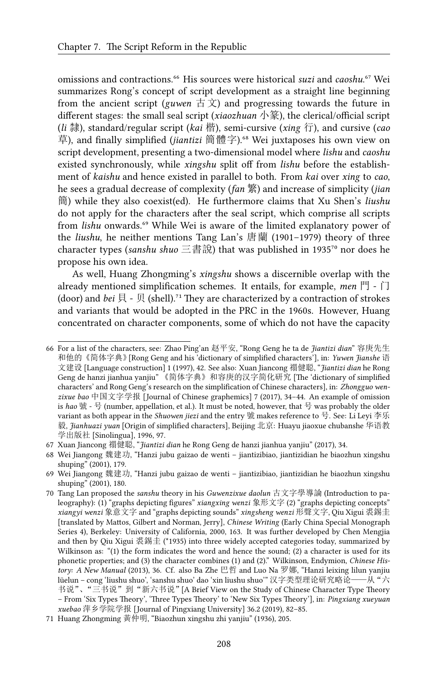omissions and contractions.⁶⁶ His sources were historical *suzi* and *caoshu*.⁶⁷ Wei summarizes Rong's concept of script development as a straight line beginning from the ancient script (*guwen*  $\vec{\uparrow} \times$ ) and progressing towards the future in different stages: the small seal script (*xiaozhuan* 小篆), the clerical/official script (*li* 隸), standard/regular script (*kai* 楷), semi-cursive (*xing* 行), and cursive (*cao* 草), and finally simplified (*jiantizi* 簡體字).<sup>68</sup> Wei juxtaposes his own view on script development, presenting a two-dimensional model where *lishu* and *caoshu* existed synchronously, while *xingshu* split off from *lishu* before the establishment of *kaishu* and hence existed in parallel to both. From *kai* over *xing* to *cao*, he sees a gradual decrease of complexity (*fan* 繁) and increase of simplicity (*jian* 簡) while they also coexist(ed). He furthermore claims that Xu Shen's *liushu* do not apply for the characters after the seal script, which comprise all scripts from *lishu* onwards.<sup>69</sup> While Wei is aware of the limited explanatory power of the *liushu*, he neither mentions Tang Lan's 唐蘭 (1901–1979) theory of three character types (*sanshu shuo* 三書說) that was published in 1935<sup>70</sup> nor does he propose his own idea.

As well, Huang Zhongming's *xingshu* shows a discernible overlap with the already mentioned simplification schemes. It entails, for example, *men* 門 - 门 (door) and *bei* 貝 - 贝 (shell).<sup>71</sup> They are characterized by a contraction of strokes and variants that would be adopted in the PRC in the 1960s. However, Huang concentrated on character components, some of which do not have the capacity

<sup>66</sup> For a list of the characters, see: Zhao Ping'an 赵平安, "Rong Geng he ta de *Jiantizi dian*" 容庚先生 和他的《简体字典》[Rong Geng and his 'dictionary of simplified characters'], in: *Yuwen Jianshe* 语 文建设 [Language construction] 1 (1997), 42. See also: Xuan Jiancong 禤健聪, "*Jiantizi dian* he Rong Geng de hanzi jianhua yanjiu" 《简体字典》和容庚的汉字简化研究 [The 'dictionary of simplified characters' and Rong Geng's research on the simplification of Chinese characters], in: *Zhongguo wenzixue bao* 中国文字学报 [Journal of Chinese graphemics] 7 (2017), 34–44. An example of omission is *hao* 號 - 号 (number, appellation, et al.). It must be noted, however, that 号 was probably the older variant as both appear in the *Shuowen jiezi* and the entry 號 makes reference to 号. See: Li Leyi 李乐 毅, *Jianhuazi yuan* [Origin of simplified characters], Beijing 北京: Huayu jiaoxue chubanshe 华语教 学出版社 [Sinolingua], 1996, 97.

<sup>67</sup> Xuan Jiancong 禤健聪, "*Jiantizi dian* he Rong Geng de hanzi jianhua yanjiu" (2017), 34.

<sup>68</sup> Wei Jiangong 魏建功, "Hanzi jubu gaizao de wenti – jiantizibiao, jiantizidian he biaozhun xingshu shuping" (2001), 179.

<sup>69</sup> Wei Jiangong 魏建功, "Hanzi jubu gaizao de wenti – jiantizibiao, jiantizidian he biaozhun xingshu shuping" (2001), 180.

<sup>70</sup> Tang Lan proposed the *sanshu* theory in his *Guwenzixue daolun* 古文字學導論 (Introduction to paleography): (1) "graphs depicting figures" *xiangxing wenzi* 象形文字 (2) "graphs depicting concepts" *xiangyi wenzi* 象意文字 and "graphs depicting sounds" *xingsheng wenzi* 形聲文字, Qiu Xigui 裘錫圭 [translated by Mattos, Gilbert and Norman, Jerry], *Chinese Writing* (Early China Special Monograph Series 4), Berkeley: University of California, 2000, 163. It was further developed by Chen Mengjia and then by Qiu Xigui 裘錫圭 (\*1935) into three widely accepted categories today, summarized by Wilkinson as: "(1) the form indicates the word and hence the sound; (2) a character is used for its phonetic properties; and (3) the character combines (1) and (2)." Wilkinson, Endymion, *Chinese History: A New Manual* (2013), 36. Cf. also Ba Zhe 巴哲 and Luo Na 罗娜, "Hanzi leixing lilun yanjiu lüelun – cong 'liushu shuo', 'sanshu shuo' dao 'xin liushu shuo'" 汉字类型理论研究略论——从"六 书说"、"三书说"到"新六书说"[A Brief View on the Study of Chinese Character Type Theory – From 'Six Types Theory', 'Three Types Theory' to 'New Six Types Theory'], in: *Pingxiang xueyuan xuebao* 萍乡学院学报 [Journal of Pingxiang University] 36.2 (2019), 82–85.

<sup>71</sup> Huang Zhongming 黃仲明, "Biaozhun xingshu zhi yanjiu" (1936), 205.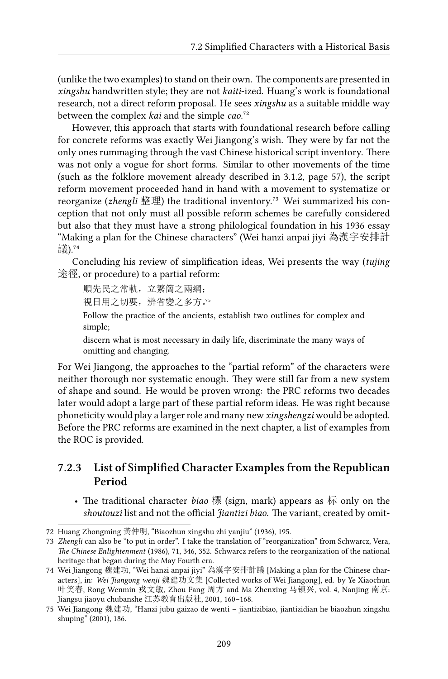(unlike the two examples) to stand on their own. The components are presented in *xingshu* handwritten style; they are not *kaiti*-ized. Huang's work is foundational research, not a direct reform proposal. He sees *xingshu* as a suitable middle way between the complex *kai* and the simple *cao*.<sup>72</sup>

However, this approach that starts with foundational research before calling for concrete reforms was exactly Wei Jiangong's wish. They were by far not the only ones rummaging through the vast Chinese historical script inventory. There was not only a vogue for short forms. Similar to other movements of the time (such as the folklore movement already described in 3.1.2, page 57), the script reform movement proceeded hand in hand with a movement to systematize or reorganize (*zhengli* 整理) the traditional inventory.<sup>73</sup> Wei summarized his conception that not only must all possible reform schemes be carefully considered but also that they must have a strong philological foundation in his 1936 essay "Making a plan for the Chinese characters" (Wei hanzi anpai jiyi 為漢字安排計 議). $^{74}$ 

Concluding his review of simplification ideas, Wei presents the way (*tujing* 途徑, or procedure) to a partial reform:

順先民之常軌,立繁簡之兩綱;

視日用之切要,辨省變之多方。"

Follow the practice of the ancients, establish two outlines for complex and simple;

discern what is most necessary in daily life, discriminate the many ways of omitting and changing.

For Wei Jiangong, the approaches to the "partial reform" of the characters were neither thorough nor systematic enough. They were still far from a new system of shape and sound. He would be proven wrong: the PRC reforms two decades later would adopt a large part of these partial reform ideas. He was right because phoneticity would play a larger role and many new *xingshengzi* would be adopted. Before the PRC reforms are examined in the next chapter, a list of examples from the ROC is provided.

#### **7.2.3 List of Simplified Character Examples from the Republican Period**

• The traditional character *biao* 標 (sign, mark) appears as 标 only on the *shoutouzi* list and not the official *Jiantizi biao*. The variant, created by omit-

<sup>72</sup> Huang Zhongming 黃仲明, "Biaozhun xingshu zhi yanjiu" (1936), 195.

<sup>73</sup> *Zhengli* can also be "to put in order". I take the translation of "reorganization" from Schwarcz, Vera, *The Chinese Enlightenment* (1986), 71, 346, 352. Schwarcz refers to the reorganization of the national heritage that began during the May Fourth era.

<sup>74</sup> Wei Jiangong 魏建功, "Wei hanzi anpai jiyi" 為漢字安排計議 [Making a plan for the Chinese characters], in: *Wei Jiangong wenji* 魏建功文集 [Collected works of Wei Jiangong], ed. by Ye Xiaochun 叶笑春, Rong Wenmin 戎文敏, Zhou Fang 周方 and Ma Zhenxing 马镇兴, vol. 4, Nanjing 南京: Jiangsu jiaoyu chubanshe 江苏教育出版社, 2001, 160–168.

<sup>75</sup> Wei Jiangong 魏建功, "Hanzi jubu gaizao de wenti – jiantizibiao, jiantizidian he biaozhun xingshu shuping" (2001), 186.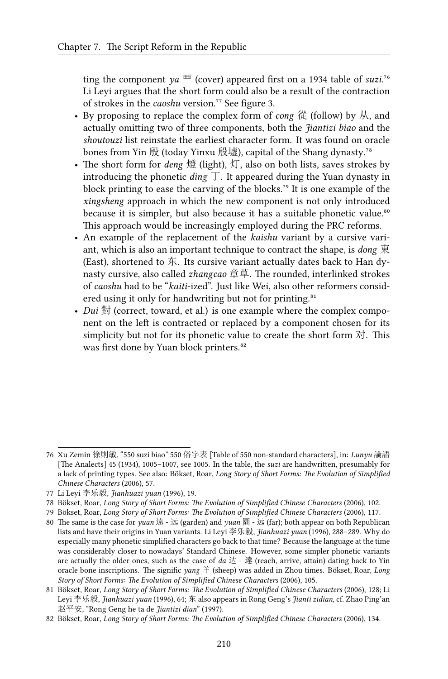ting the component  $ya^{\text{H}}$  (cover) appeared first on a 1934 table of *suzi*.<sup>76</sup> Li Leyi argues that the short form could also be a result of the contraction of strokes in the *caoshu* version.<sup>77</sup> See figure 3.

- By proposing to replace the complex form of *cong* 從 (follow) by 从, and actually omitting two of three components, both the *Jiantizi biao* and the *shoutouzi* list reinstate the earliest character form. It was found on oracle bones from Yin 殷 (today Yinxu 殷墟), capital of the Shang dynasty.<sup>78</sup>
- The short form for *deng* 燈 (light), 灯, also on both lists, saves strokes by introducing the phonetic *ding*  $\top$ . It appeared during the Yuan dynasty in block printing to ease the carving of the blocks.<sup>79</sup> It is one example of the *xingsheng* approach in which the new component is not only introduced because it is simpler, but also because it has a suitable phonetic value.<sup>80</sup> This approach would be increasingly employed during the PRC reforms.
- An example of the replacement of the *kaishu* variant by a cursive variant, which is also an important technique to contract the shape, is *dong* 東 (East), shortened to  $\overline{f}$ . Its cursive variant actually dates back to Han dynasty cursive, also called *zhangcao* 章草. The rounded, interlinked strokes of *caoshu* had to be "*kaiti*-ized". Just like Wei, also other reformers considered using it only for handwriting but not for printing.<sup>81</sup>
- *Dui* 對 (correct, toward, et al.) is one example where the complex component on the left is contracted or replaced by a component chosen for its simplicity but not for its phonetic value to create the short form 对. This was first done by Yuan block printers.<sup>82</sup>

<sup>76</sup> Xu Zemin 徐則敏, "550 suzi biao" 550 俗字表 [Table of 550 non-standard characters], in: *Lunyu* 論語 [The Analects] 45 (1934), 1005–1007, see 1005. In the table, the *suzi* are handwritten, presumably for a lack of printing types. See also: Bökset, Roar, *Long Story of Short Forms: The Evolution of Simplified Chinese Characters* (2006), 57.

<sup>77</sup> Li Leyi 李乐毅, *Jianhuazi yuan* (1996), 19.

<sup>78</sup> Bökset, Roar, *Long Story of Short Forms: The Evolution of Simplified Chinese Characters* (2006), 102.

<sup>79</sup> Bökset, Roar, *Long Story of Short Forms: The Evolution of Simplified Chinese Characters* (2006), 117.

<sup>80</sup> The same is the case for *yuan* 遠 - 远 (garden) and *yuan* 園 - 远 (far); both appear on both Republican lists and have their origins in Yuan variants. Li Leyi 李乐毅, *Jianhuazi yuan* (1996), 288–289. Why do especially many phonetic simplified characters go back to that time? Because the language at the time was considerably closer to nowadays' Standard Chinese. However, some simpler phonetic variants are actually the older ones, such as the case of  $da \, \dot{\mathcal{L}}$  -  $\ddot{\mathcal{R}}$  (reach, arrive, attain) dating back to Yin oracle bone inscriptions. The signific *yang* 羊 (sheep) was added in Zhou times. Bökset, Roar, *Long Story of Short Forms: The Evolution of Simplified Chinese Characters* (2006), 105.

<sup>81</sup> Bökset, Roar, *Long Story of Short Forms: The Evolution of Simplified Chinese Characters* (2006), 128; Li Leyi 李乐毅, *Jianhuazi yuan* (1996), 64; 东 also appears in Rong Geng's *Jianti zidian*, cf. Zhao Ping'an 赵平安, "Rong Geng he ta de *Jiantizi dian*" (1997).

<sup>82</sup> Bökset, Roar, *Long Story of Short Forms: The Evolution of Simplified Chinese Characters* (2006), 134.